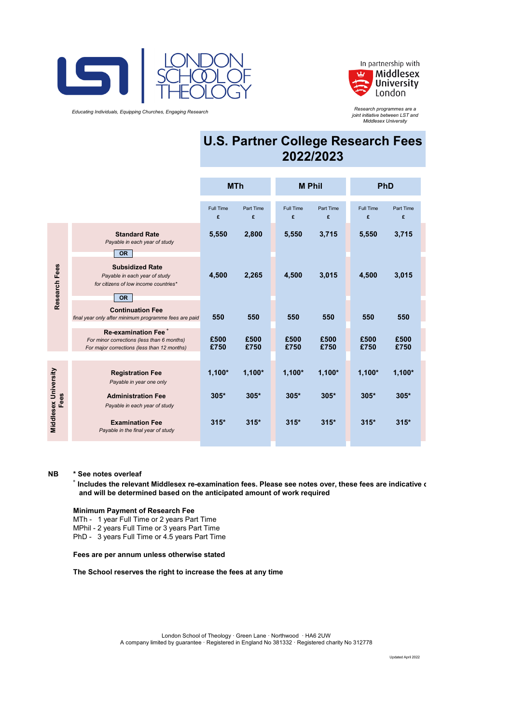

 *Educating Individuals, Equipping Churches, Engaging Research*



*Research programmes are a joint initiative between LST and Middlesex University*

# **U.S. Partner College Research Fees 2022/2023**

|                              |                                                                                                                              | <b>MTh</b>            |                | <b>M</b> Phil         |                | <b>PhD</b>            |                |
|------------------------------|------------------------------------------------------------------------------------------------------------------------------|-----------------------|----------------|-----------------------|----------------|-----------------------|----------------|
|                              |                                                                                                                              | <b>Full Time</b><br>£ | Part Time<br>£ | <b>Full Time</b><br>£ | Part Time<br>£ | <b>Full Time</b><br>£ | Part Time<br>£ |
| Research Fees                | <b>Standard Rate</b><br>Payable in each year of study<br><b>OR</b>                                                           | 5,550                 | 2,800          | 5,550                 | 3,715          | 5,550                 | 3,715          |
|                              | <b>Subsidized Rate</b><br>Payable in each year of study<br>for citizens of low income countries*<br><b>OR</b>                | 4,500                 | 2,265          | 4,500                 | 3,015          | 4,500                 | 3,015          |
|                              | <b>Continuation Fee</b><br>final year only after minimum programme fees are paid                                             | 550                   | 550            | 550                   | 550            | 550                   | 550            |
|                              | Re-examination Fee <sup>+</sup><br>For minor corrections (less than 6 months)<br>For major corrections (less than 12 months) | £500<br>£750          | £500<br>£750   | £500<br>£750          | £500<br>£750   | £500<br>£750          | £500<br>£750   |
| Middlesex University<br>Fees | <b>Registration Fee</b><br>Payable in year one only                                                                          | $1,100*$              | $1,100*$       | $1,100*$              | $1,100*$       | $1,100*$              | $1,100*$       |
|                              | <b>Administration Fee</b><br>Payable in each year of study                                                                   | $305*$                | $305*$         | $305*$                | $305*$         | 305*                  | 305*           |
|                              | <b>Examination Fee</b><br>Payable in the final year of study                                                                 | $315*$                | $315*$         | $315*$                | $315*$         | $315*$                | $315*$         |

#### **NB \* See notes overleaf**

+  **Includes the relevant Middlesex re-examination fees. Please see notes over, these fees are indicative o and will be determined based on the anticipated amount of work required**

#### **Minimum Payment of Research Fee**

MTh - 1 year Full Time or 2 years Part Time MPhil - 2 years Full Time or 3 years Part Time PhD - 3 years Full Time or 4.5 years Part Time

#### **Fees are per annum unless otherwise stated**

**The School reserves the right to increase the fees at any time**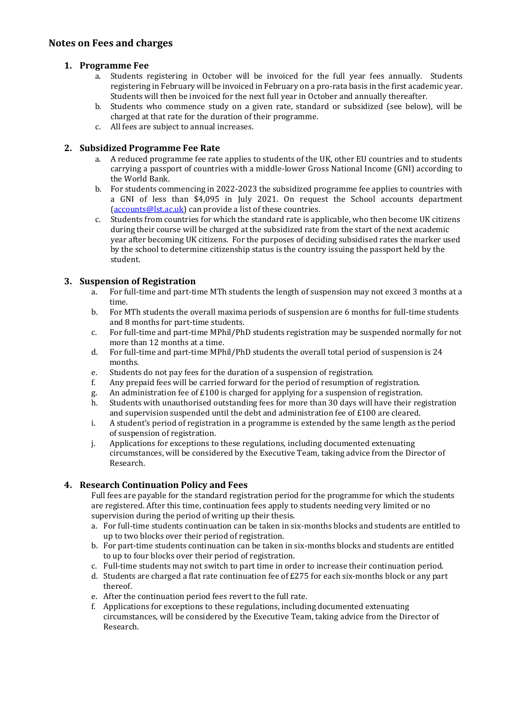# **Notes on Fees and charges**

# **1. Programme Fee**

- a. Students registering in October will be invoiced for the full year fees annually. Students registering in February will be invoiced in February on a pro-rata basis in the first academic year. Students will then be invoiced for the next full year in October and annually thereafter.
- b. Students who commence study on a given rate, standard or subsidized (see below), will be charged at that rate for the duration of their programme.
- c. All fees are subject to annual increases.

# **2. Subsidized Programme Fee Rate**

- a. A reduced programme fee rate applies to students of the UK, other EU countries and to students carrying a passport of countries with a middle-lower Gross National Income (GNI) according to the World Bank.
- b. For students commencing in 2022-2023 the subsidized programme fee applies to countries with a GNI of less than \$4,095 in July 2021. On request the School accounts department [\(accounts@lst.ac.uk\)](mailto:accounts@lst.ac.uk) can provide a list of these countries.
- c. Students from countries for which the standard rate is applicable, who then become UK citizens during their course will be charged at the subsidized rate from the start of the next academic year after becoming UK citizens. For the purposes of deciding subsidised rates the marker used by the school to determine citizenship status is the country issuing the passport held by the student.

# **3. Suspension of Registration**

- a. For full-time and part-time MTh students the length of suspension may not exceed 3 months at a time.
- b. For MTh students the overall maxima periods of suspension are 6 months for full-time students and 8 months for part-time students.
- c. For full-time and part-time MPhil/PhD students registration may be suspended normally for not more than 12 months at a time.
- d. For full-time and part-time MPhil/PhD students the overall total period of suspension is 24 months.
- e. Students do not pay fees for the duration of a suspension of registration.<br>
f. Any prepaid fees will be carried forward for the period of resumption of
- Any prepaid fees will be carried forward for the period of resumption of registration.
- g. An administration fee of  $£100$  is charged for applying for a suspension of registration.<br>b. Students with unauthorised outstanding fees for more than 30 days will have their reg
- Students with unauthorised outstanding fees for more than 30 days will have their registration and supervision suspended until the debt and administration fee of  $£100$  are cleared.
- i. A student's period of registration in a programme is extended by the same length as the period of suspension of registration.
- j. Applications for exceptions to these regulations, including documented extenuating circumstances, will be considered by the Executive Team, taking advice from the Director of Research.

# **4. Research Continuation Policy and Fees**

Full fees are payable for the standard registration period for the programme for which the students are registered. After this time, continuation fees apply to students needing very limited or no supervision during the period of writing up their thesis.

- a. For full-time students continuation can be taken in six-months blocks and students are entitled to up to two blocks over their period of registration.
- b. For part-time students continuation can be taken in six-months blocks and students are entitled to up to four blocks over their period of registration.
- c. Full-time students may not switch to part time in order to increase their continuation period.
- d. Students are charged a flat rate continuation fee of £275 for each six-months block or any part thereof.
- e. After the continuation period fees revert to the full rate.
- f. Applications for exceptions to these regulations, including documented extenuating circumstances, will be considered by the Executive Team, taking advice from the Director of Research.